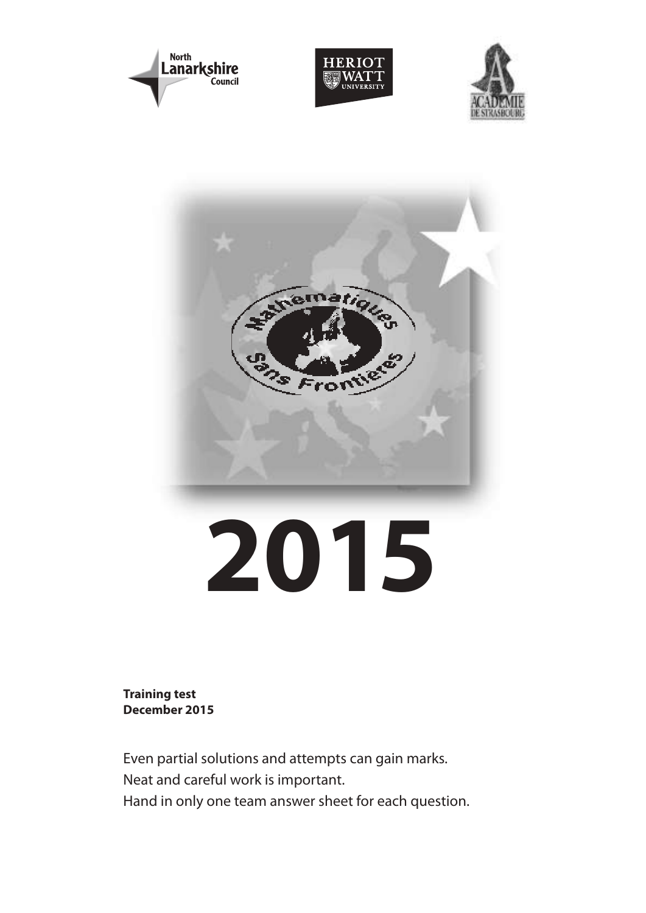







**Training test December 2015**

Even partial solutions and attempts can gain marks. Neat and careful work is important. Hand in only one team answer sheet for each question.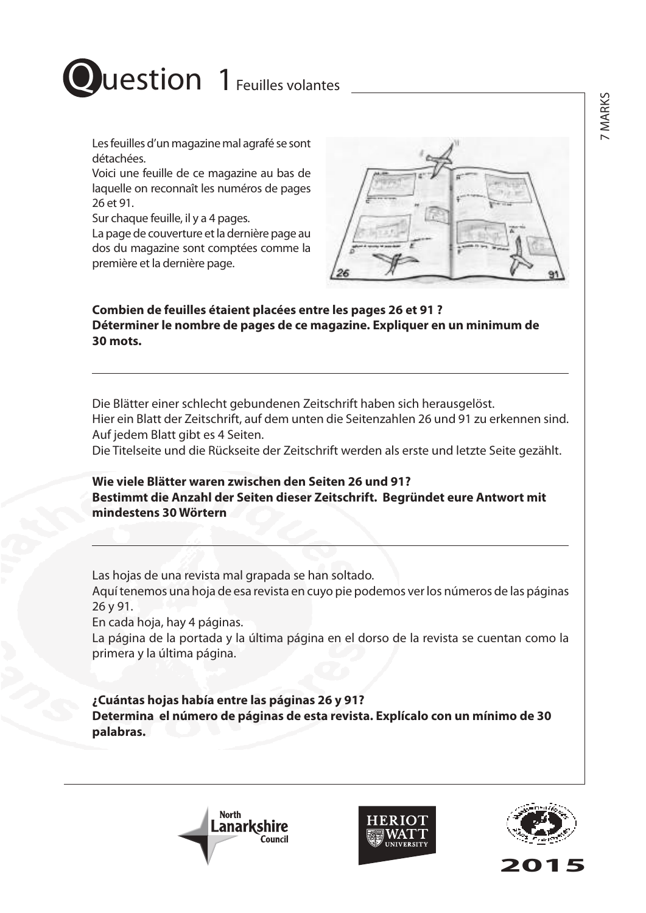

Les feuilles d'un magazine mal agrafé se sont détachées.

Voici une feuille de ce magazine au bas de laquelle on reconnaît les numéros de pages 26 et 91.

Sur chaque feuille, il y a 4 pages.

La page de couverture et la dernière page au dos du magazine sont comptées comme la première et la dernière page.

### **Combien de feuilles étaient placées entre les pages 26 et 91 ? Déterminer le nombre de pages de ce magazine. Expliquer en un minimum de 30 mots.**

Die Blätter einer schlecht gebundenen Zeitschrift haben sich herausgelöst. Hier ein Blatt der Zeitschrift, auf dem unten die Seitenzahlen 26 und 91 zu erkennen sind. Auf jedem Blatt gibt es 4 Seiten.

Die Titelseite und die Rückseite der Zeitschrift werden als erste und letzte Seite gezählt.

**Wie viele Blätter waren zwischen den Seiten 26 und 91? Bestimmt die Anzahl der Seiten dieser Zeitschrift. Begründet eure Antwort mit mindestens 30 Wörtern**

Las hojas de una revista mal grapada se han soltado.

Aquí tenemos una hoja de esa revista en cuyo pie podemos ver los números de las páginas 26 y 91.

En cada hoja, hay 4 páginas.

La página de la portada y la última página en el dorso de la revista se cuentan como la primera y la última página.

**¿Cuántas hojas había entre las páginas 26 y 91? Determina el número de páginas de esta revista. Explícalo con un mínimo de 30 palabras.**





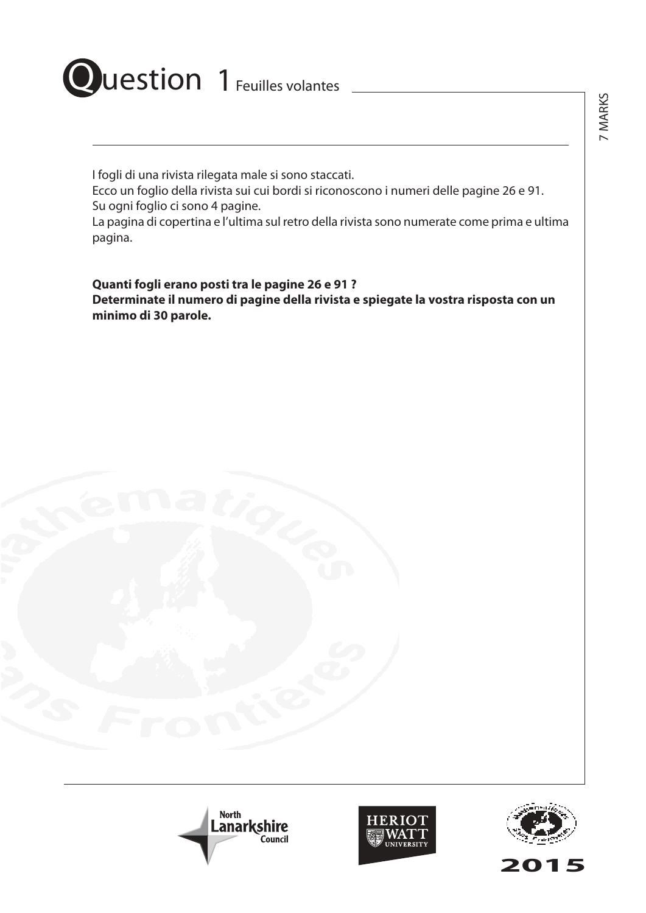# Question 1 Feuilles volantes

I fogli di una rivista rilegata male si sono staccati.

Ecco un foglio della rivista sui cui bordi si riconoscono i numeri delle pagine 26 e 91. Su ogni foglio ci sono 4 pagine.

La pagina di copertina e l'ultima sul retro della rivista sono numerate come prima e ultima pagina.

**Quanti fogli erano posti tra le pagine 26 e 91 ? Determinate il numero di pagine della rivista e spiegate la vostra risposta con un minimo di 30 parole.**







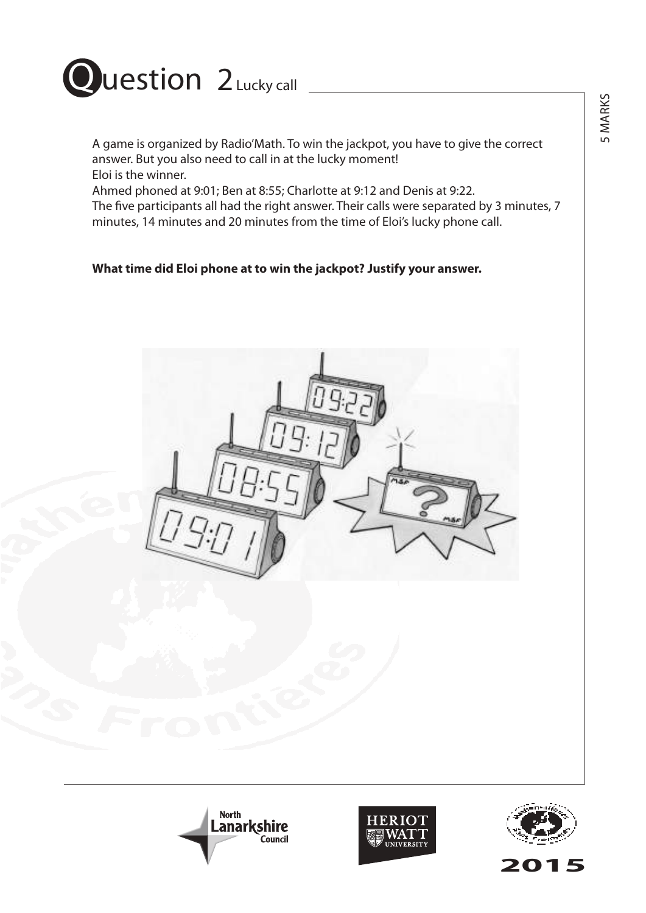

## Question 2 Lucky call

A game is organized by Radio'Math. To win the jackpot, you have to give the correct answer. But you also need to call in at the lucky moment! Eloi is the winner.

Ahmed phoned at 9:01; Ben at 8:55; Charlotte at 9:12 and Denis at 9:22.

The five participants all had the right answer. Their calls were separated by 3 minutes, 7 minutes, 14 minutes and 20 minutes from the time of Eloi's lucky phone call.

### **What time did Eloi phone at to win the jackpot? Justify your answer.**









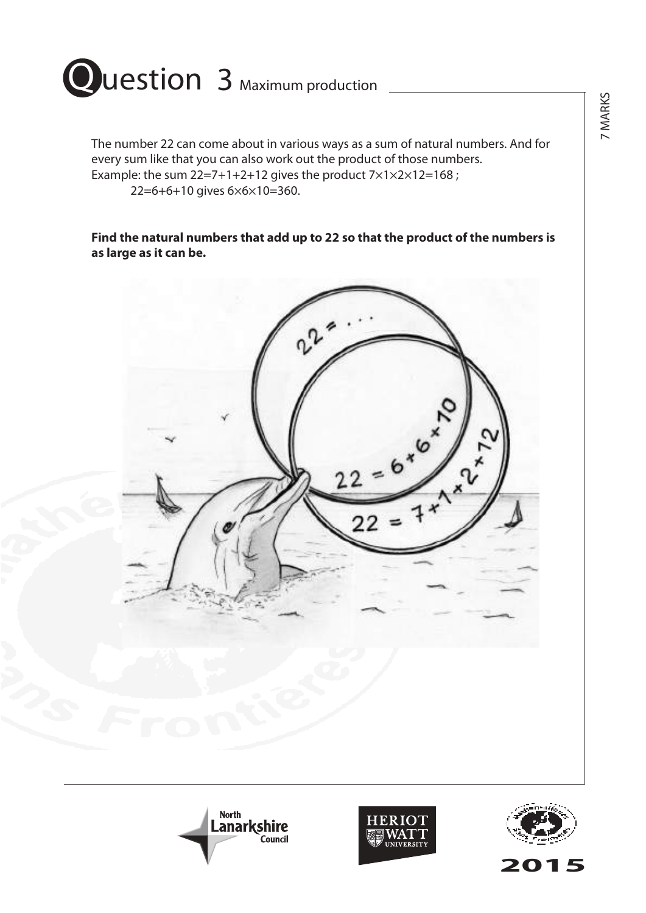

The number 22 can come about in various ways as a sum of natural numbers. And for every sum like that you can also work out the product of those numbers. Example: the sum  $22=7+1+2+12$  gives the product  $7\times1\times2\times12=168$ ; 22=6+6+10 gives 6×6×10=360.

**Find the natural numbers that add up to 22 so that the product of the numbers is as large as it can be.**







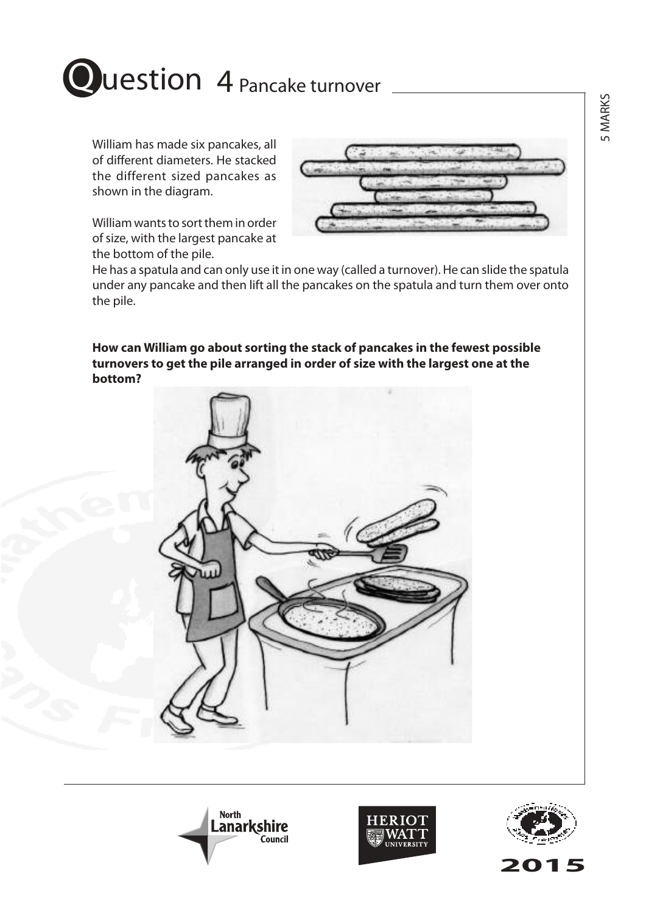

# Question 4 Pancake turnover

William has made six pancakes, all of different diameters. He stacked the different sized pancakes as shown in the diagram.

William wants to sort them in order of size, with the largest pancake at the bottom of the pile.



He has a spatula and can only use it in one way (called a turnover). He can slide the spatula under any pancake and then lift all the pancakes on the spatula and turn them over onto the pile.

**How can William go about sorting the stack of pancakes in the fewest possible turnovers to get the pile arranged in order of size with the largest one at the bottom?**







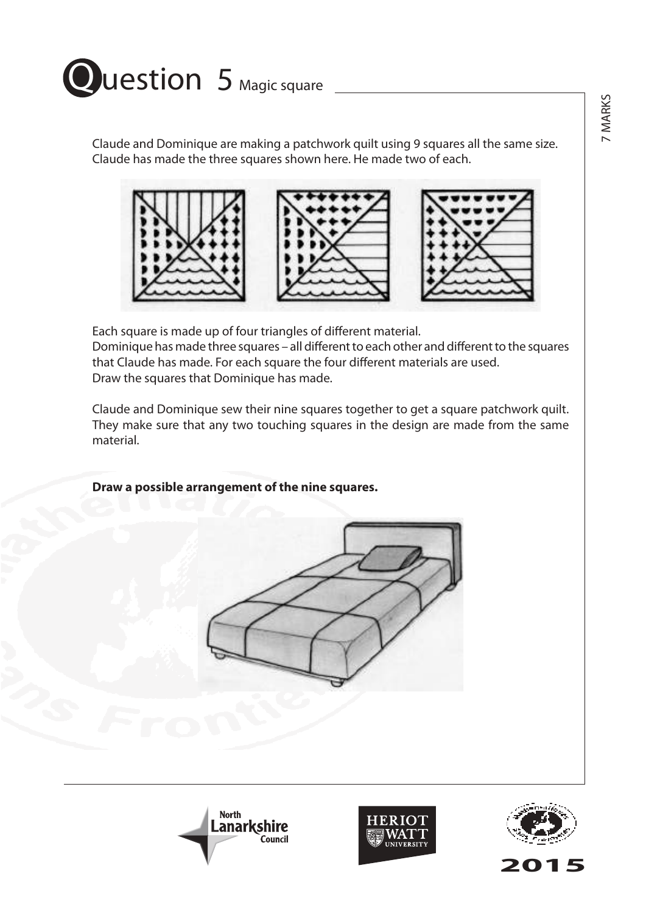

Claude and Dominique are making a patchwork quilt using 9 squares all the same size. Claude has made the three squares shown here. He made two of each.





Each square is made up of four triangles of different material. Dominique has made three squares – all different to each other and different to the squares that Claude has made. For each square the four different materials are used. Draw the squares that Dominique has made.

Claude and Dominique sew their nine squares together to get a square patchwork quilt. They make sure that any two touching squares in the design are made from the same material.

**Draw a possible arrangement of the nine squares.**









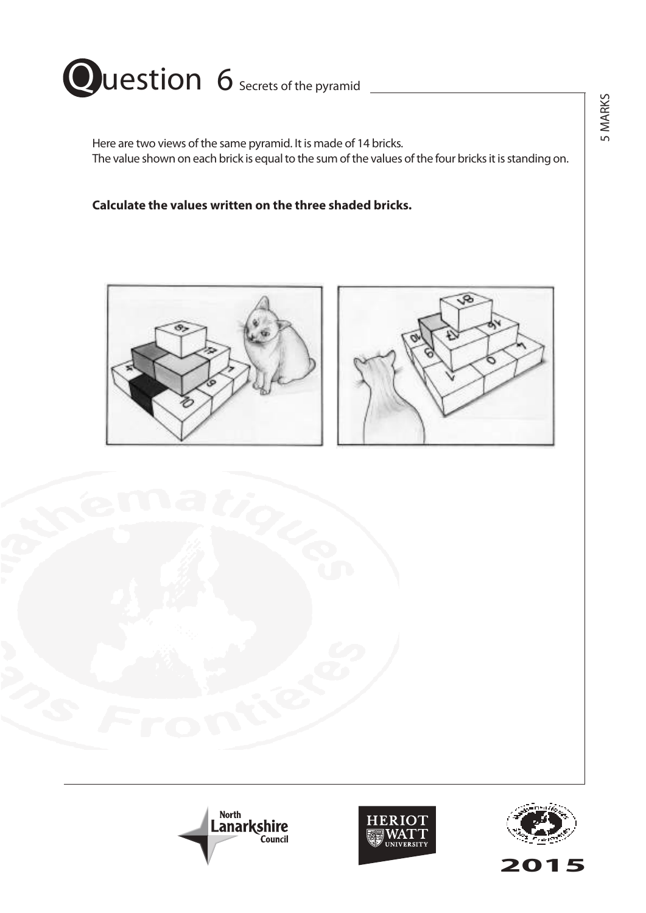

Here are two views of the same pyramid. It is made of 14 bricks. The value shown on each brick is equal to the sum of the values of the four bricks it is standing on.

**Calculate the values written on the three shaded bricks.**











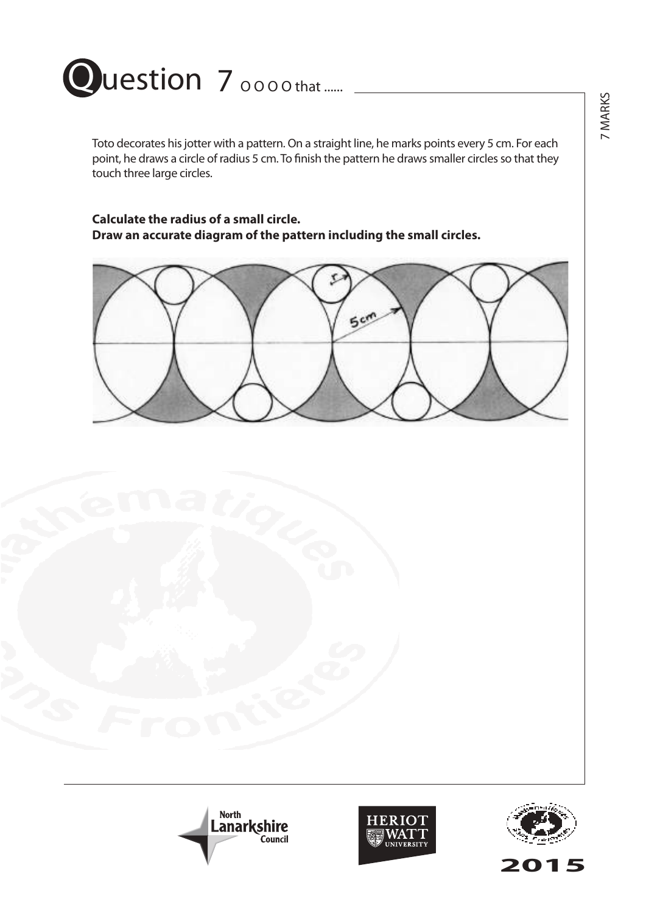

Toto decorates his jotter with a pattern. On a straight line, he marks points every 5 cm. For each point, he draws a circle of radius 5 cm. To finish the pattern he draws smaller circles so that they touch three large circles.

### **Calculate the radius of a small circle. Draw an accurate diagram of the pattern including the small circles.**







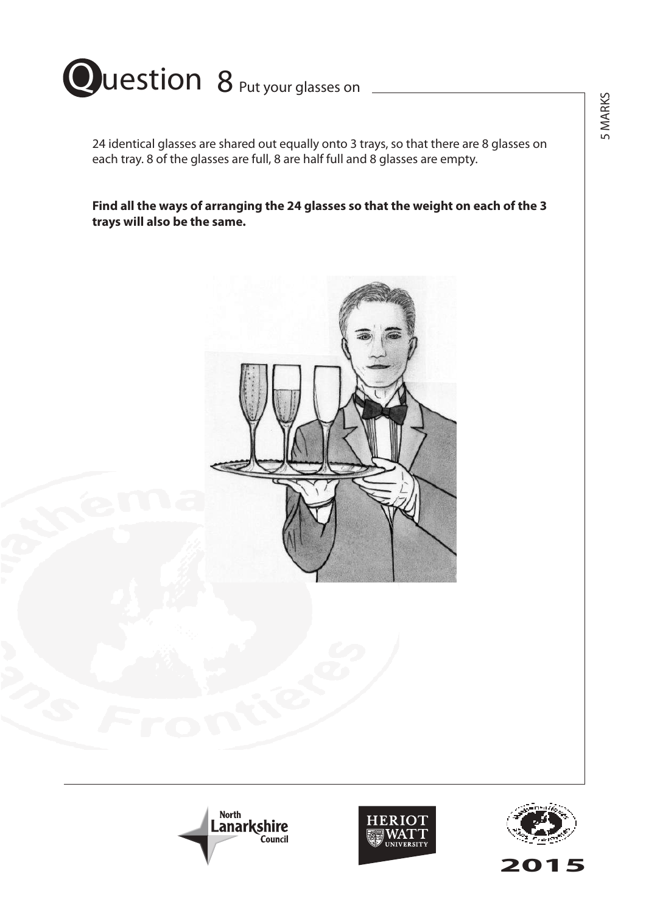

24 identical glasses are shared out equally onto 3 trays, so that there are 8 glasses on each tray. 8 of the glasses are full, 8 are half full and 8 glasses are empty.

**Find all the ways of arranging the 24 glasses so that the weight on each of the 3 trays will also be the same.**







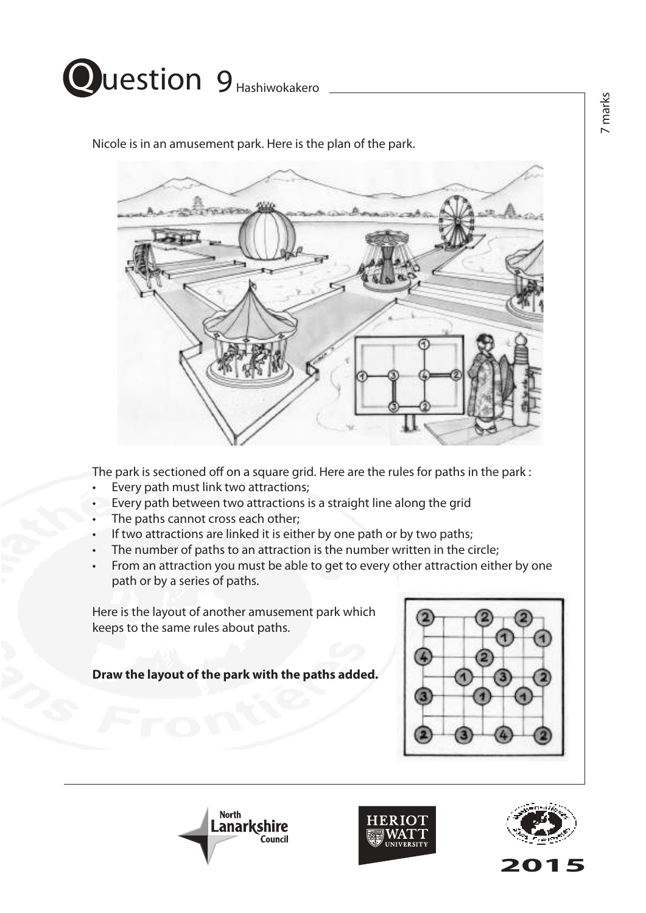

Nicole is in an amusement park. Here is the plan of the park.



The park is sectioned off on a square grid. Here are the rules for paths in the park :

- Every path must link two attractions;
- Every path between two attractions is a straight line along the grid
- The paths cannot cross each other;
- If two attractions are linked it is either by one path or by two paths;
- The number of paths to an attraction is the number written in the circle;
- From an attraction you must be able to get to every other attraction either by one path or by a series of paths.

Here is the layout of another amusement park which keeps to the same rules about paths.

**Draw the layout of the park with the paths added.**







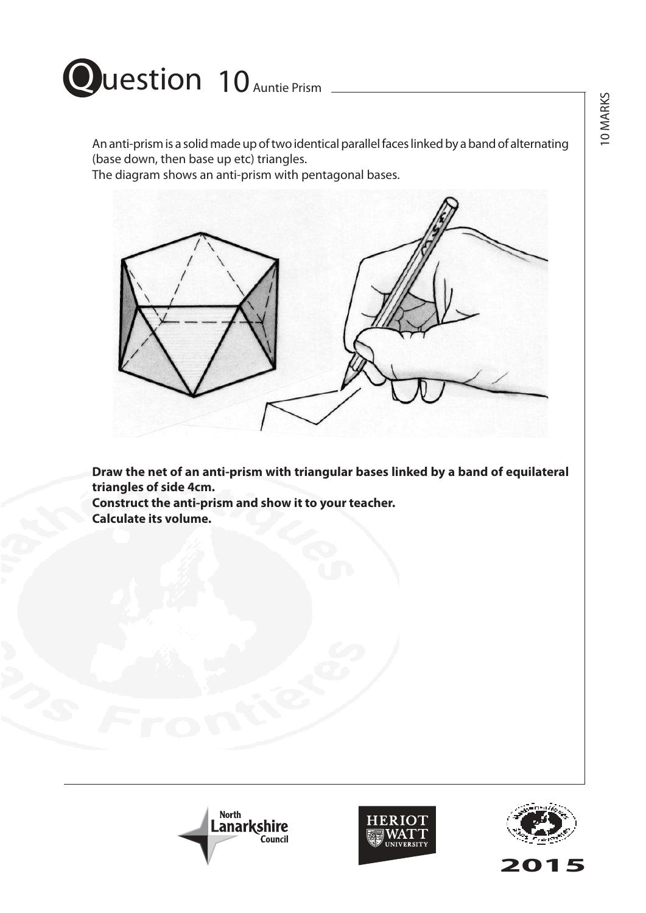

An anti-prism is a solid made up of two identical parallel faces linked by a band of alternating (base down, then base up etc) triangles.

The diagram shows an anti-prism with pentagonal bases.



**Draw the net of an anti-prism with triangular bases linked by a band of equilateral triangles of side 4cm. Construct the anti-prism and show it to your teacher.**

**Calculate its volume.**







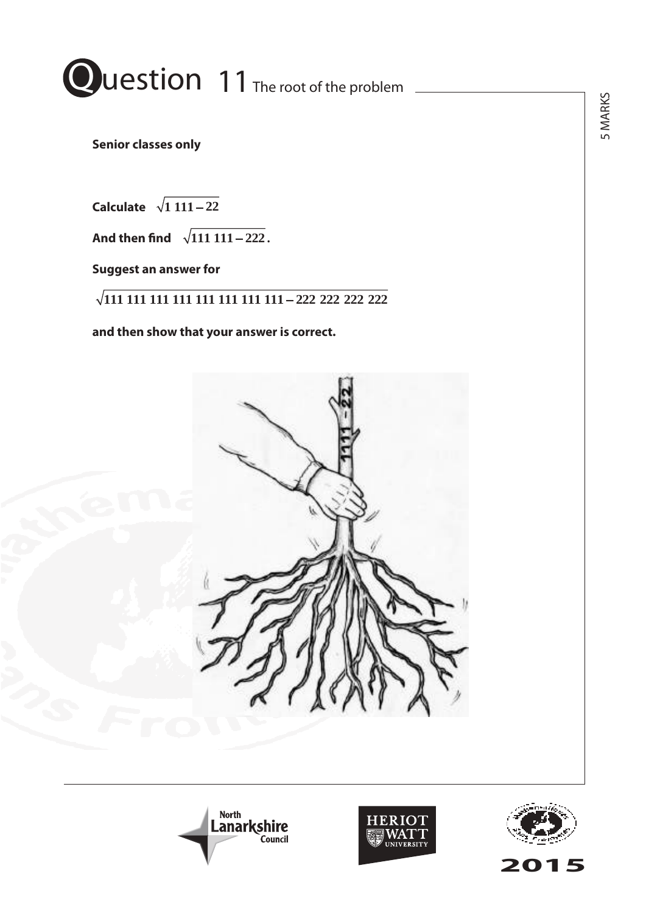

**Duestion 11 The problem 5 marks Senior classes only Definite Classes only** 

**Calculate**  *Calculate* **1 111 22** *Calculate* **1 111 22** *Calculate* **1 111 22**

**And then find**  $\sqrt{111 \cdot 111 - 222}$ .

**Suggest an answer for** *Suggest an answer for Suggest an answer for Suggest an answer for*

**111 111 111 111 111 111 111 111 222 222 222 222 111 111 111 111 111 111 111 111 222 222 222 222 111 111 111 111 111 111 111 111 222 222 222 222**

**and then show that your answer is correct.** *and then show that your answer is correct. and then show that your answer is correct. and then show that your answer is correct.*







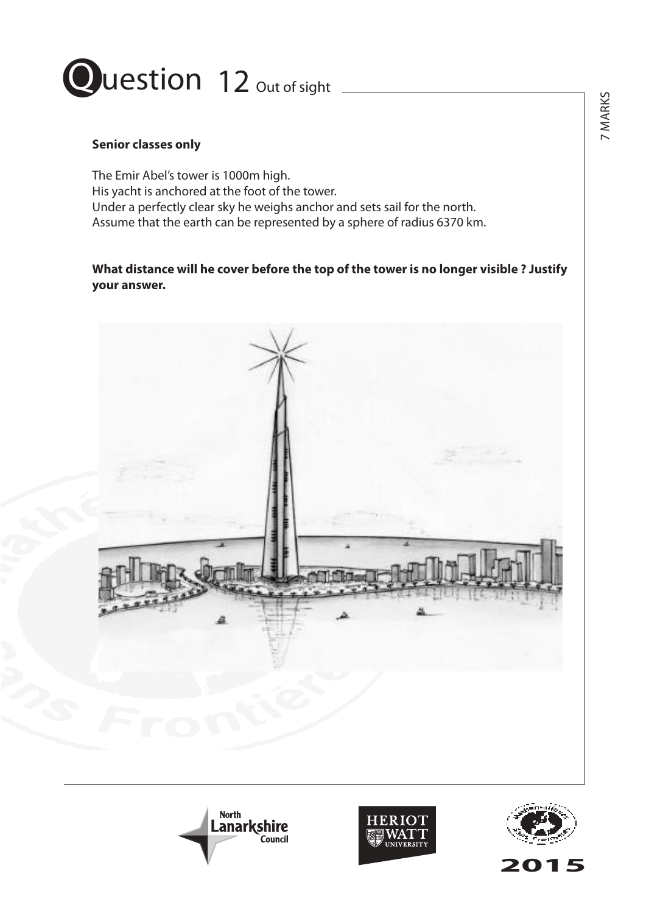

### **Senior classes only**

The Emir Abel's tower is 1000m high. His yacht is anchored at the foot of the tower. Under a perfectly clear sky he weighs anchor and sets sail for the north. Assume that the earth can be represented by a sphere of radius 6370 km.

**What distance will he cover before the top of the tower is no longer visible ? Justify your answer.**